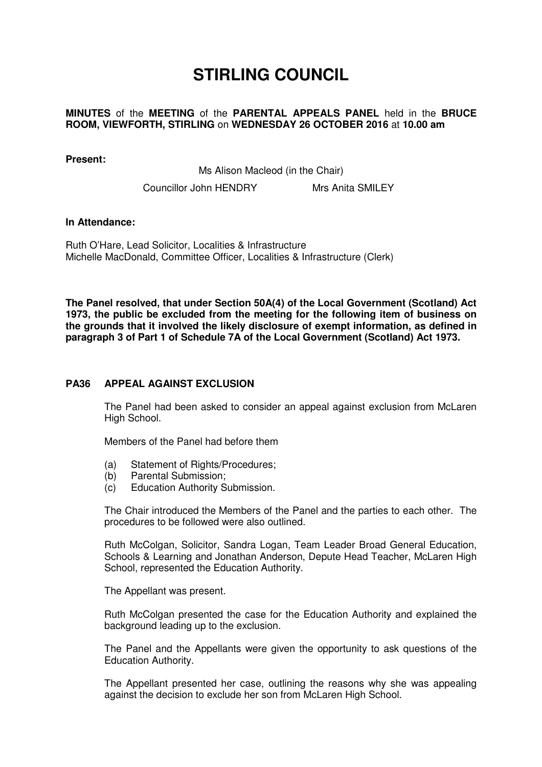# **STIRLING COUNCIL**

### **MINUTES** of the **MEETING** of the **PARENTAL APPEALS PANEL** held in the **BRUCE ROOM, VIEWFORTH, STIRLING** on **WEDNESDAY 26 OCTOBER 2016** at **10.00 am**

#### **Present:**

Ms Alison Macleod (in the Chair)

Councillor John HENDRY Mrs Anita SMILEY

#### **In Attendance:**

Ruth O'Hare, Lead Solicitor, Localities & Infrastructure Michelle MacDonald, Committee Officer, Localities & Infrastructure (Clerk)

**The Panel resolved, that under Section 50A(4) of the Local Government (Scotland) Act 1973, the public be excluded from the meeting for the following item of business on the grounds that it involved the likely disclosure of exempt information, as defined in paragraph 3 of Part 1 of Schedule 7A of the Local Government (Scotland) Act 1973.** 

## **[PA36 APPEAL AGAINST EXCLUSION](/forms/request.htm)**

The Panel had been asked to consider an appeal against exclusion from McLaren High School.

Members of the Panel had before them

- (a) Statement of Rights/Procedures;
- (b) Parental Submission;
- (c) Education Authority Submission.

The Chair introduced the Members of the Panel and the parties to each other. The procedures to be followed were also outlined.

Ruth McColgan, Solicitor, Sandra Logan, Team Leader Broad General Education, Schools & Learning and Jonathan Anderson, Depute Head Teacher, McLaren High School, represented the Education Authority.

The Appellant was present.

Ruth McColgan presented the case for the Education Authority and explained the background leading up to the exclusion.

The Panel and the Appellants were given the opportunity to ask questions of the Education Authority.

The Appellant presented her case, outlining the reasons why she was appealing against the decision to exclude her son from McLaren High School.